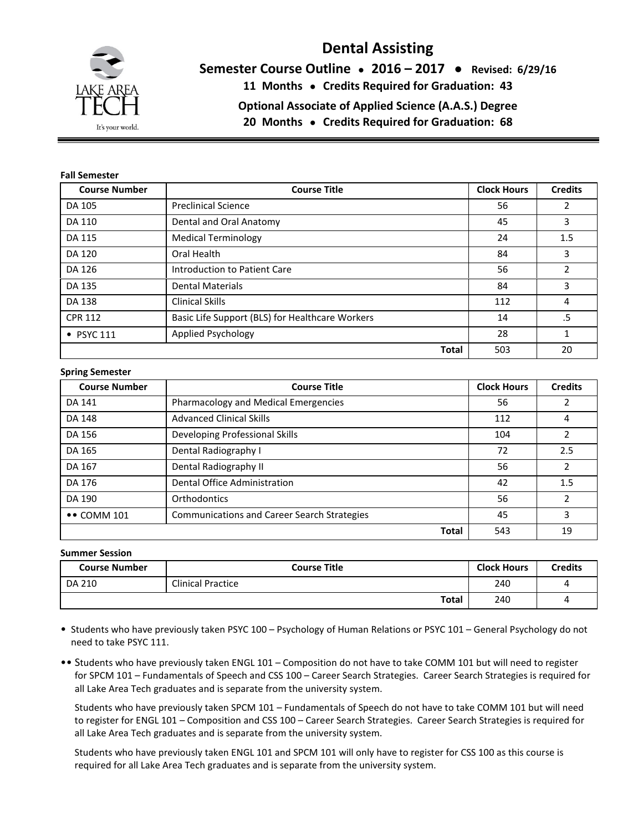

# **Dental Assisting**

**Semester Course Outline ● 2016 – 2017 ● Revised: 6/29/16**

**11 Months ● Credits Required for Graduation: 43**

**Optional Associate of Applied Science (A.A.S.) Degree**

**20 Months ● Credits Required for Graduation: 68**

#### **Fall Semester**

| <b>Course Number</b> | <b>Course Title</b>                             | <b>Clock Hours</b> | <b>Credits</b> |
|----------------------|-------------------------------------------------|--------------------|----------------|
| DA 105               | <b>Preclinical Science</b>                      | 56                 | 2              |
| DA 110               | Dental and Oral Anatomy                         | 45                 | 3              |
| DA 115               | <b>Medical Terminology</b>                      | 24                 | 1.5            |
| DA 120               | Oral Health                                     | 84                 | 3              |
| DA 126               | Introduction to Patient Care                    | 56                 | $\overline{2}$ |
| DA 135               | <b>Dental Materials</b>                         | 84                 | 3              |
| DA 138               | <b>Clinical Skills</b>                          |                    | 4              |
| <b>CPR 112</b>       | Basic Life Support (BLS) for Healthcare Workers |                    | .5             |
| $\bullet$ PSYC 111   | Applied Psychology                              |                    | 1              |
|                      | <b>Total</b>                                    | 503                | 20             |

#### **Spring Semester**

| <b>Course Number</b>      | <b>Course Title</b>                                |              | <b>Clock Hours</b> | <b>Credits</b>           |
|---------------------------|----------------------------------------------------|--------------|--------------------|--------------------------|
| <b>DA 141</b>             | Pharmacology and Medical Emergencies               | 56           |                    |                          |
| DA 148                    | <b>Advanced Clinical Skills</b>                    | 112          | 4                  |                          |
| DA 156                    | Developing Professional Skills                     | 104          | 2                  |                          |
| DA 165                    | Dental Radiography I                               |              | 72                 | 2.5                      |
| DA 167                    | Dental Radiography II                              |              | 56                 | $\overline{\phantom{a}}$ |
| DA 176                    | Dental Office Administration                       |              | 42                 | 1.5                      |
| DA 190                    | <b>Orthodontics</b>                                |              | 56                 | $\mathfrak{p}$           |
| $\bullet\bullet$ COMM 101 | <b>Communications and Career Search Strategies</b> |              | 45                 | 3                        |
|                           |                                                    | <b>Total</b> | 543                | 19                       |

#### **Summer Session**

| <b>Course Number</b> | <b>Course Title</b>      | <b>Clock Hours</b> | <b>Credits</b> |
|----------------------|--------------------------|--------------------|----------------|
| DA 210               | <b>Clinical Practice</b> | 240                | 4              |
|                      | <b>Total</b>             | 240                | 4              |

- Students who have previously taken PSYC 100 Psychology of Human Relations or PSYC 101 General Psychology do not need to take PSYC 111.
- •• Students who have previously taken ENGL 101 Composition do not have to take COMM 101 but will need to register for SPCM 101 – Fundamentals of Speech and CSS 100 – Career Search Strategies. Career Search Strategies is required for all Lake Area Tech graduates and is separate from the university system.

Students who have previously taken SPCM 101 – Fundamentals of Speech do not have to take COMM 101 but will need to register for ENGL 101 – Composition and CSS 100 – Career Search Strategies. Career Search Strategies is required for all Lake Area Tech graduates and is separate from the university system.

Students who have previously taken ENGL 101 and SPCM 101 will only have to register for CSS 100 as this course is required for all Lake Area Tech graduates and is separate from the university system.